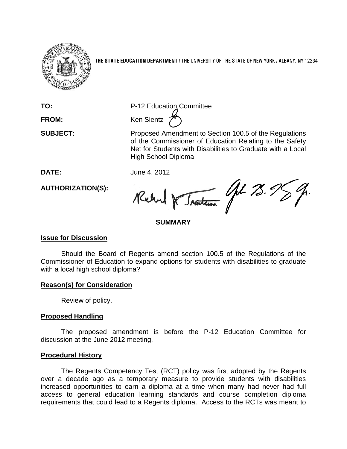

**THE STATE EDUCATION DEPARTMENT** / THE UNIVERSITY OF THE STATE OF NEW YORK / ALBANY, NY 12234

**TO:** P-12 Education Committee

**FROM:** Ken Slentz 2

**SUBJECT:** Proposed Amendment to Section 100.5 of the Regulations of the Commissioner of Education Relating to the Safety Net for Students with Disabilities to Graduate with a Local High School Diploma

**DATE:** June 4, 2012

Traiteau Get 75.5 Rochard De

# **SUMMARY**

## **Issue for Discussion**

**AUTHORIZATION(S):**

Should the Board of Regents amend section 100.5 of the Regulations of the Commissioner of Education to expand options for students with disabilities to graduate with a local high school diploma?

## **Reason(s) for Consideration**

Review of policy.

## **Proposed Handling**

The proposed amendment is before the P-12 Education Committee for discussion at the June 2012 meeting.

### **Procedural History**

The Regents Competency Test (RCT) policy was first adopted by the Regents over a decade ago as a temporary measure to provide students with disabilities increased opportunities to earn a diploma at a time when many had never had full access to general education learning standards and course completion diploma requirements that could lead to a Regents diploma. Access to the RCTs was meant to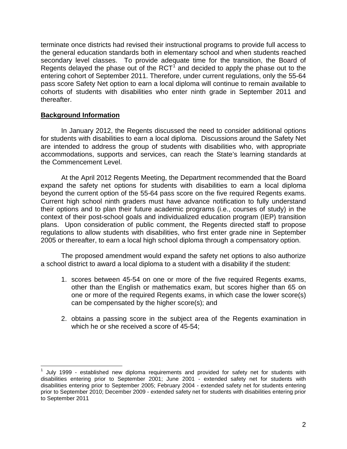terminate once districts had revised their instructional programs to provide full access to the general education standards both in elementary school and when students reached secondary level classes. To provide adequate time for the transition, the Board of Regents delayed the phase out of the  $RCT<sup>1</sup>$  $RCT<sup>1</sup>$  $RCT<sup>1</sup>$  and decided to apply the phase out to the entering cohort of September 2011. Therefore, under current regulations, only the 55-64 pass score Safety Net option to earn a local diploma will continue to remain available to cohorts of students with disabilities who enter ninth grade in September 2011 and thereafter.

### **Background Information**

In January 2012, the Regents discussed the need to consider additional options for students with disabilities to earn a local diploma. Discussions around the Safety Net are intended to address the group of students with disabilities who, with appropriate accommodations, supports and services, can reach the State's learning standards at the Commencement Level.

At the April 2012 Regents Meeting, the Department recommended that the Board expand the safety net options for students with disabilities to earn a local diploma beyond the current option of the 55-64 pass score on the five required Regents exams. Current high school ninth graders must have advance notification to fully understand their options and to plan their future academic programs (i.e., courses of study) in the context of their post-school goals and individualized education program (IEP) transition plans. Upon consideration of public comment, the Regents directed staff to propose regulations to allow students with disabilities, who first enter grade nine in September 2005 or thereafter, to earn a local high school diploma through a compensatory option.

The proposed amendment would expand the safety net options to also authorize a school district to award a local diploma to a student with a disability if the student:

- 1. scores between 45-54 on one or more of the five required Regents exams, other than the English or mathematics exam, but scores higher than 65 on one or more of the required Regents exams, in which case the lower score(s) can be compensated by the higher score(s); and
- 2. obtains a passing score in the subject area of the Regents examination in which he or she received a score of 45-54;

<span id="page-1-0"></span> <sup>1</sup> July 1999 - established new diploma requirements and provided for safety net for students with disabilities entering prior to September 2001; June 2001 - extended safety net for students with disabilities entering prior to September 2005; February 2004 - extended safety net for students entering prior to September 2010; December 2009 - extended safety net for students with disabilities entering prior to September 2011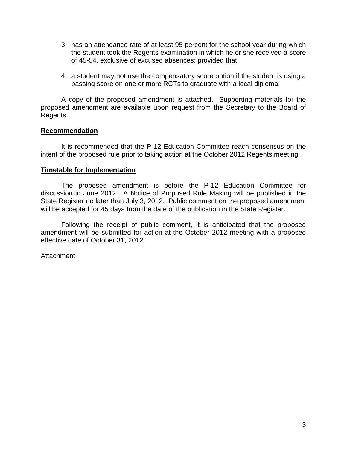- 3. has an attendance rate of at least 95 percent for the school year during which the student took the Regents examination in which he or she received a score of 45-54, exclusive of excused absences; provided that
- 4. a student may not use the compensatory score option if the student is using a passing score on one or more RCTs to graduate with a local diploma.

A copy of the proposed amendment is attached. Supporting materials for the proposed amendment are available upon request from the Secretary to the Board of Regents.

### **Recommendation**

It is recommended that the P-12 Education Committee reach consensus on the intent of the proposed rule prior to taking action at the October 2012 Regents meeting.

#### **Timetable for Implementation**

The proposed amendment is before the P-12 Education Committee for discussion in June 2012. A Notice of Proposed Rule Making will be published in the State Register no later than July 3, 2012. Public comment on the proposed amendment will be accepted for 45 days from the date of the publication in the State Register.

Following the receipt of public comment, it is anticipated that the proposed amendment will be submitted for action at the October 2012 meeting with a proposed effective date of October 31, 2012.

Attachment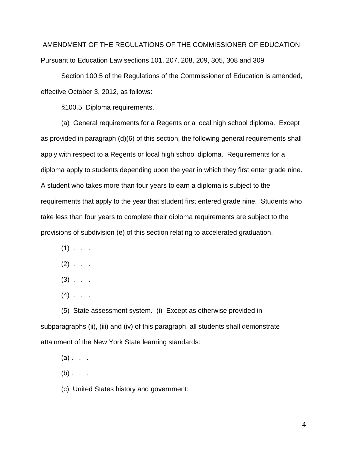AMENDMENT OF THE REGULATIONS OF THE COMMISSIONER OF EDUCATION Pursuant to Education Law sections 101, 207, 208, 209, 305, 308 and 309

Section 100.5 of the Regulations of the Commissioner of Education is amended, effective October 3, 2012, as follows:

§100.5 Diploma requirements.

(a) General requirements for a Regents or a local high school diploma. Except as provided in paragraph (d)(6) of this section, the following general requirements shall apply with respect to a Regents or local high school diploma. Requirements for a diploma apply to students depending upon the year in which they first enter grade nine. A student who takes more than four years to earn a diploma is subject to the requirements that apply to the year that student first entered grade nine. Students who take less than four years to complete their diploma requirements are subject to the provisions of subdivision (e) of this section relating to accelerated graduation.

- $(1)$  . . .
- $(2)$  . . .
- $(3)$  . . .
- $(4)$  . .

(5) State assessment system. (i) Except as otherwise provided in subparagraphs (ii), (iii) and (iv) of this paragraph, all students shall demonstrate attainment of the New York State learning standards:

- $(a)$ . . .
- $(b)$ . . .
- (c) United States history and government: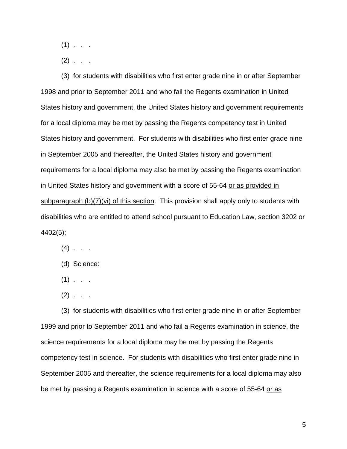$(1)$  . .

 $(2)$  . . .

(3) for students with disabilities who first enter grade nine in or after September 1998 and prior to September 2011 and who fail the Regents examination in United States history and government, the United States history and government requirements for a local diploma may be met by passing the Regents competency test in United States history and government. For students with disabilities who first enter grade nine in September 2005 and thereafter, the United States history and government requirements for a local diploma may also be met by passing the Regents examination in United States history and government with a score of 55-64 or as provided in subparagraph (b)(7)(vi) of this section. This provision shall apply only to students with disabilities who are entitled to attend school pursuant to Education Law, section 3202 or 4402(5);

- $(4)$  . .
- (d) Science:
- $(1)$  . . .
- $(2)$  . . .

(3) for students with disabilities who first enter grade nine in or after September 1999 and prior to September 2011 and who fail a Regents examination in science, the science requirements for a local diploma may be met by passing the Regents competency test in science. For students with disabilities who first enter grade nine in September 2005 and thereafter, the science requirements for a local diploma may also be met by passing a Regents examination in science with a score of 55-64 or as

5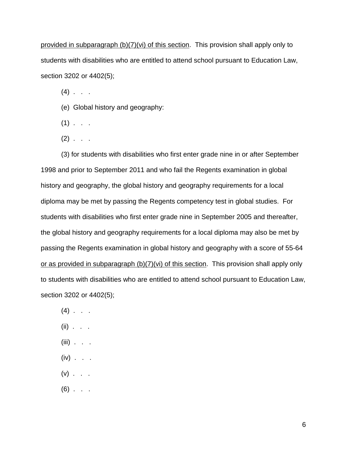provided in subparagraph (b)(7)(vi) of this section. This provision shall apply only to students with disabilities who are entitled to attend school pursuant to Education Law, section 3202 or 4402(5);

 $(4)$  . .

- (e) Global history and geography:
- $(1)$  . . .
- $(2)$  . . .

(3) for students with disabilities who first enter grade nine in or after September 1998 and prior to September 2011 and who fail the Regents examination in global history and geography, the global history and geography requirements for a local diploma may be met by passing the Regents competency test in global studies. For students with disabilities who first enter grade nine in September 2005 and thereafter, the global history and geography requirements for a local diploma may also be met by passing the Regents examination in global history and geography with a score of 55-64 or as provided in subparagraph (b)(7)(vi) of this section. This provision shall apply only to students with disabilities who are entitled to attend school pursuant to Education Law, section 3202 or 4402(5);

- $(4)$  . . .
- $(ii)$  . . .
- $(iii)$  . . .
- $(iv)$  . . .
- $(v)$  . . .
- $(6)$  . . .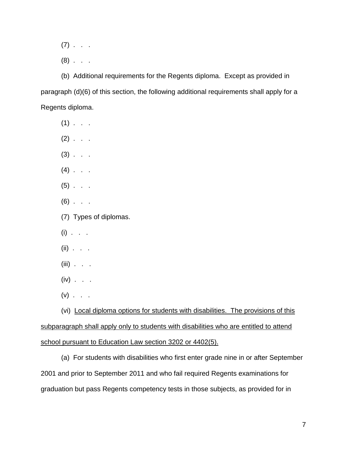- $(7)$  . . .
- $(8)$  . .

(b) Additional requirements for the Regents diploma. Except as provided in paragraph (d)(6) of this section, the following additional requirements shall apply for a Regents diploma.

- $(1)$  . . .
- $(2)$  . . .
- $(3)$  . . .
- $(4)$  . . .
- $(5)$  . . .
- $(6)$  . . .
- (7) Types of diplomas.
- $(i)$  . . .
- $(ii)$  . . .
- $(iii)$  . . .
- $(iv)$  . . .
- $(v)$  . . .

(vi) Local diploma options for students with disabilities. The provisions of this subparagraph shall apply only to students with disabilities who are entitled to attend school pursuant to Education Law section 3202 or 4402(5).

(a) For students with disabilities who first enter grade nine in or after September 2001 and prior to September 2011 and who fail required Regents examinations for graduation but pass Regents competency tests in those subjects, as provided for in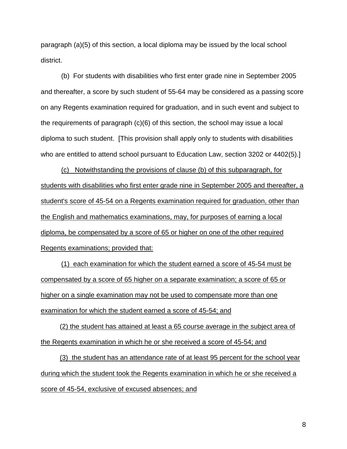paragraph (a)(5) of this section, a local diploma may be issued by the local school district.

(b) For students with disabilities who first enter grade nine in September 2005 and thereafter, a score by such student of 55-64 may be considered as a passing score on any Regents examination required for graduation, and in such event and subject to the requirements of paragraph (c)(6) of this section, the school may issue a local diploma to such student. [This provision shall apply only to students with disabilities who are entitled to attend school pursuant to Education Law, section 3202 or 4402(5).]

(c) Notwithstanding the provisions of clause (b) of this subparagraph, for students with disabilities who first enter grade nine in September 2005 and thereafter, a student's score of 45-54 on a Regents examination required for graduation, other than the English and mathematics examinations, may, for purposes of earning a local diploma, be compensated by a score of 65 or higher on one of the other required Regents examinations; provided that:

(1) each examination for which the student earned a score of 45-54 must be compensated by a score of 65 higher on a separate examination; a score of 65 or higher on a single examination may not be used to compensate more than one examination for which the student earned a score of 45-54; and

 (2) the student has attained at least a 65 course average in the subject area of the Regents examination in which he or she received a score of 45-54; and

 (3) the student has an attendance rate of at least 95 percent for the school year during which the student took the Regents examination in which he or she received a score of 45-54, exclusive of excused absences; and

8